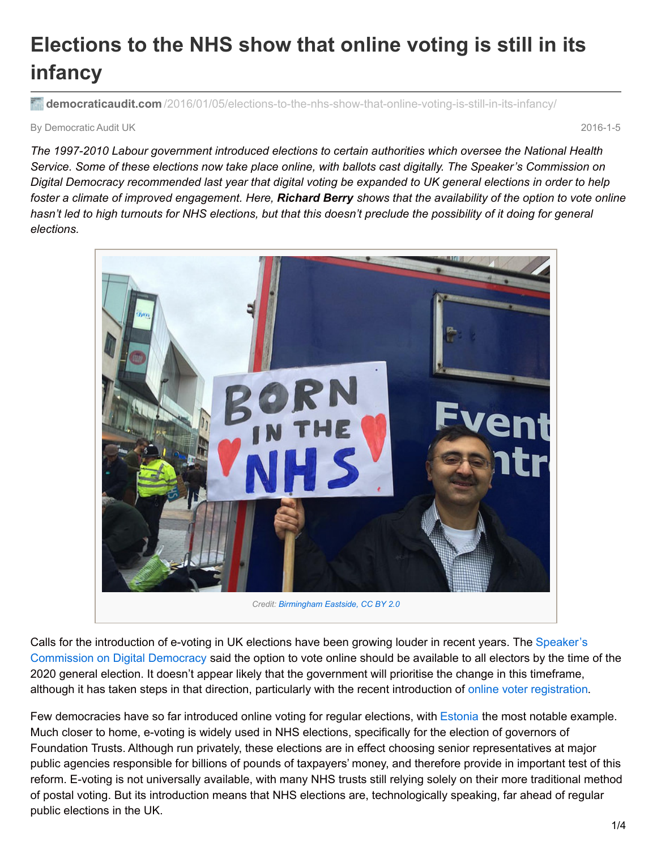# **Elections to the NHS show that online voting is still in its infancy**

**democraticaudit.com** [/2016/01/05/elections-to-the-nhs-show-that-online-voting-is-still-in-its-infancy/](http://www.democraticaudit.com/2016/01/05/elections-to-the-nhs-show-that-online-voting-is-still-in-its-infancy/)

By Democratic Audit UK 2016-1-5

*The 1997-2010 Labour government introduced elections to certain authorities which oversee the National Health* Service. Some of these elections now take place online, with ballots cast digitally. The Speaker's Commission on Digital Democracy recommended last year that digital voting be expanded to UK general elections in order to help foster a climate of improved engagement. Here, Richard Berry shows that the availability of the option to vote online hasn't led to high turnouts for NHS elections, but that this doesn't preclude the possibility of it doing for general *elections.*



Calls for the introduction of e-voting in UK elections have been growing louder in recent years. The Speaker's [Commission](http://www.digitaldemocracy.parliament.uk/chapter/summary) on Digital Democracy said the option to vote online should be available to all electors by the time of the 2020 general election. It doesn't appear likely that the government will prioritise the change in this timeframe, although it has taken steps in that direction, particularly with the recent introduction of online voter [registration.](http://www.digitaldemocracy.parliament.uk/chapter/summary)

Few democracies have so far introduced online voting for regular elections, with [Estonia](http://www.democraticaudit.com/?p=1499) the most notable example. Much closer to home, e-voting is widely used in NHS elections, specifically for the election of governors of Foundation Trusts. Although run privately, these elections are in effect choosing senior representatives at major public agencies responsible for billions of pounds of taxpayers' money, and therefore provide in important test of this reform. E-voting is not universally available, with many NHS trusts still relying solely on their more traditional method of postal voting. But its introduction means that NHS elections are, technologically speaking, far ahead of regular public elections in the UK.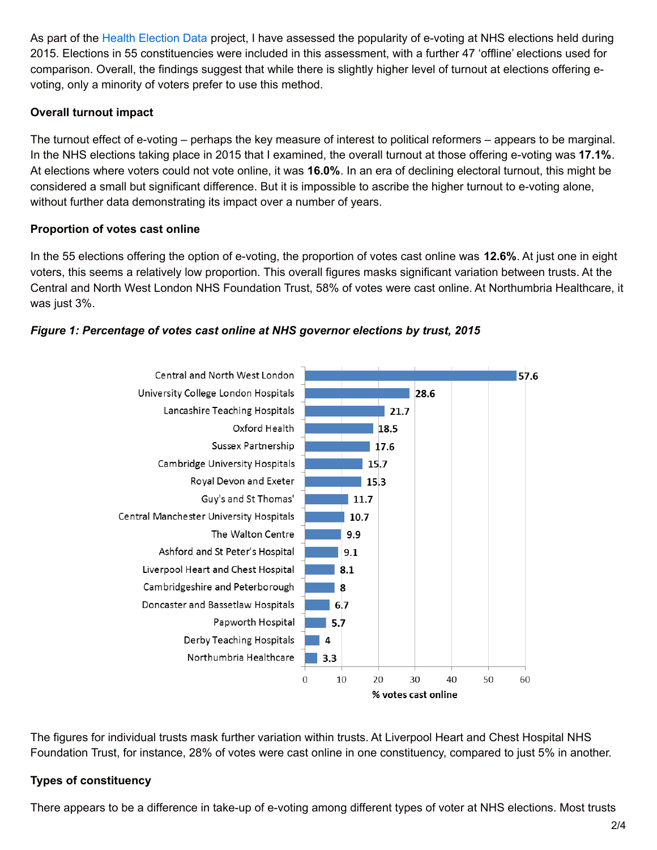As part of the Health [Election](http://healthelections.uk/) Data project, I have assessed the popularity of e-voting at NHS elections held during 2015. Elections in 55 constituencies were included in this assessment, with a further 47 'offline' elections used for comparison. Overall, the findings suggest that while there is slightly higher level of turnout at elections offering evoting, only a minority of voters prefer to use this method.

### **Overall turnout impact**

The turnout effect of e-voting – perhaps the key measure of interest to political reformers – appears to be marginal. In the NHS elections taking place in 2015 that I examined, the overall turnout at those offering e-voting was **17.1%**. At elections where voters could not vote online, it was **16.0%**. In an era of declining electoral turnout, this might be considered a small but significant difference. But it is impossible to ascribe the higher turnout to e-voting alone, without further data demonstrating its impact over a number of years.

### **Proportion of votes cast online**

In the 55 elections offering the option of e-voting, the proportion of votes cast online was **12.6%**. At just one in eight voters, this seems a relatively low proportion. This overall figures masks significant variation between trusts. At the Central and North West London NHS Foundation Trust, 58% of votes were cast online. At Northumbria Healthcare, it was just 3%.

# *Figure 1: Percentage of votes cast online at NHS governor elections by trust, 2015*



The figures for individual trusts mask further variation within trusts. At Liverpool Heart and Chest Hospital NHS Foundation Trust, for instance, 28% of votes were cast online in one constituency, compared to just 5% in another.

# **Types of constituency**

There appears to be a difference in take-up of e-voting among different types of voter at NHS elections. Most trusts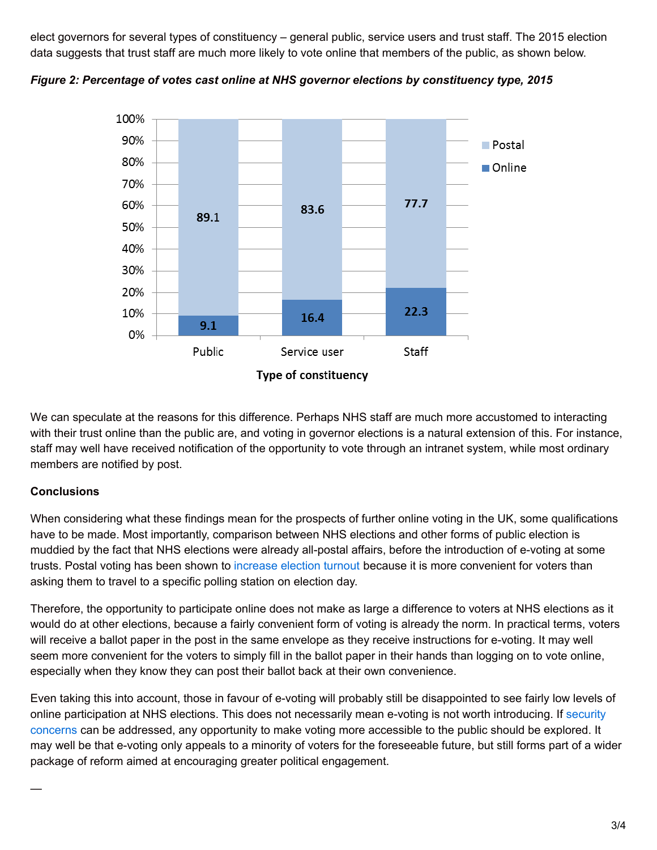elect governors for several types of constituency – general public, service users and trust staff. The 2015 election data suggests that trust staff are much more likely to vote online that members of the public, as shown below.



*Figure 2: Percentage of votes cast online at NHS governor elections by constituency type, 2015*

We can speculate at the reasons for this difference. Perhaps NHS staff are much more accustomed to interacting with their trust online than the public are, and voting in governor elections is a natural extension of this. For instance, staff may well have received notification of the opportunity to vote through an intranet system, while most ordinary members are notified by post.

#### **Conclusions**

—

When considering what these findings mean for the prospects of further online voting in the UK, some qualifications have to be made. Most importantly, comparison between NHS elections and other forms of public election is muddied by the fact that NHS elections were already all-postal affairs, before the introduction of e-voting at some trusts. Postal voting has been shown to [increase](http://www.electoralcommission.org.uk/i-am-a/journalist/electoral-commission-media-centre/news-releases-reviews-and-research/the-electoral-commission-reports-on-all-postal-electoral-scheme-in-newcastle) election turnout because it is more convenient for voters than asking them to travel to a specific polling station on election day.

Therefore, the opportunity to participate online does not make as large a difference to voters at NHS elections as it would do at other elections, because a fairly convenient form of voting is already the norm. In practical terms, voters will receive a ballot paper in the post in the same envelope as they receive instructions for e-voting. It may well seem more convenient for the voters to simply fill in the ballot paper in their hands than logging on to vote online, especially when they know they can post their ballot back at their own convenience.

Even taking this into account, those in favour of e-voting will probably still be disappointed to see fairly low levels of online [participation](https://estoniaevoting.org/) at NHS elections. This does not necessarily mean e-voting is not worth introducing. If security concerns can be addressed, any opportunity to make voting more accessible to the public should be explored. It may well be that e-voting only appeals to a minority of voters for the foreseeable future, but still forms part of a wider package of reform aimed at encouraging greater political engagement.